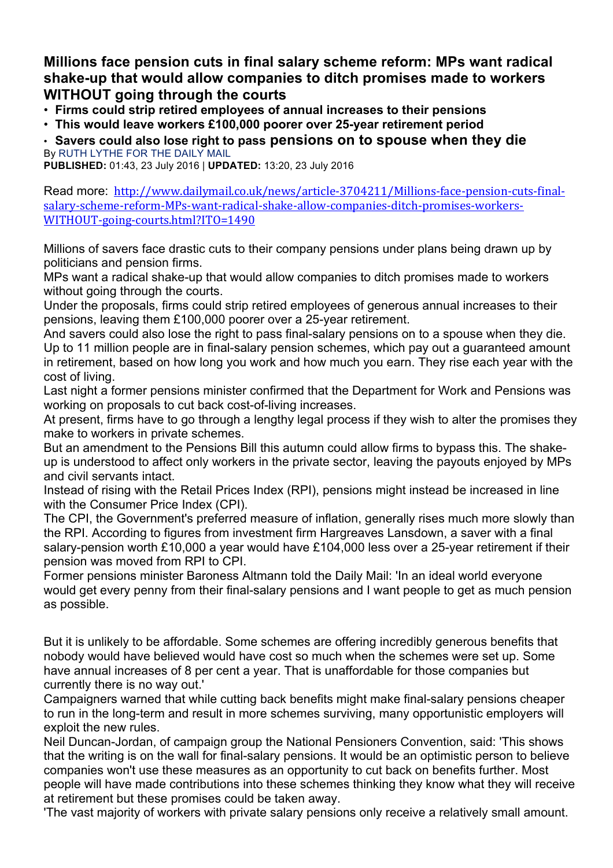**Millions face pension cuts in final salary scheme reform: MPs want radical shake-up that would allow companies to ditch promises made to workers WITHOUT going through the courts**

• **Firms could strip retired employees of annual increases to their pensions**

• **This would leave workers £100,000 poorer over 25-year retirement period**

• **Savers could also lose right to pass pensions on to spouse when they die** By RUTH LYTHE FOR THE DAILY MAIL

**PUBLISHED:** 01:43, 23 July 2016 | **UPDATED:** 13:20, 23 July 2016

Read more: http://www.dailymail.co.uk/news/article-3704211/Millions-face-pension-cuts-finalsalary-scheme-reform-MPs-want-radical-shake-allow-companies-ditch-promises-workers-WITHOUT-going-courts.html?ITO=1490

Millions of savers face drastic cuts to their company pensions under plans being drawn up by politicians and pension firms.

MPs want a radical shake-up that would allow companies to ditch promises made to workers without going through the courts.

Under the proposals, firms could strip retired employees of generous annual increases to their pensions, leaving them £100,000 poorer over a 25-year retirement.

And savers could also lose the right to pass final-salary pensions on to a spouse when they die. Up to 11 million people are in final-salary pension schemes, which pay out a guaranteed amount in retirement, based on how long you work and how much you earn. They rise each year with the cost of living.

Last night a former pensions minister confirmed that the Department for Work and Pensions was working on proposals to cut back cost-of-living increases.

At present, firms have to go through a lengthy legal process if they wish to alter the promises they make to workers in private schemes.

But an amendment to the Pensions Bill this autumn could allow firms to bypass this. The shakeup is understood to affect only workers in the private sector, leaving the payouts enjoyed by MPs and civil servants intact.

Instead of rising with the Retail Prices Index (RPI), pensions might instead be increased in line with the Consumer Price Index (CPI).

The CPI, the Government's preferred measure of inflation, generally rises much more slowly than the RPI. According to figures from investment firm Hargreaves Lansdown, a saver with a final salary-pension worth £10,000 a year would have £104,000 less over a 25-year retirement if their pension was moved from RPI to CPI.

Former pensions minister Baroness Altmann told the Daily Mail: 'In an ideal world everyone would get every penny from their final-salary pensions and I want people to get as much pension as possible.

But it is unlikely to be affordable. Some schemes are offering incredibly generous benefits that nobody would have believed would have cost so much when the schemes were set up. Some have annual increases of 8 per cent a year. That is unaffordable for those companies but currently there is no way out.'

Campaigners warned that while cutting back benefits might make final-salary pensions cheaper to run in the long-term and result in more schemes surviving, many opportunistic employers will exploit the new rules.

Neil Duncan-Jordan, of campaign group the National Pensioners Convention, said: 'This shows that the writing is on the wall for final-salary pensions. It would be an optimistic person to believe companies won't use these measures as an opportunity to cut back on benefits further. Most people will have made contributions into these schemes thinking they know what they will receive at retirement but these promises could be taken away.

'The vast majority of workers with private salary pensions only receive a relatively small amount.